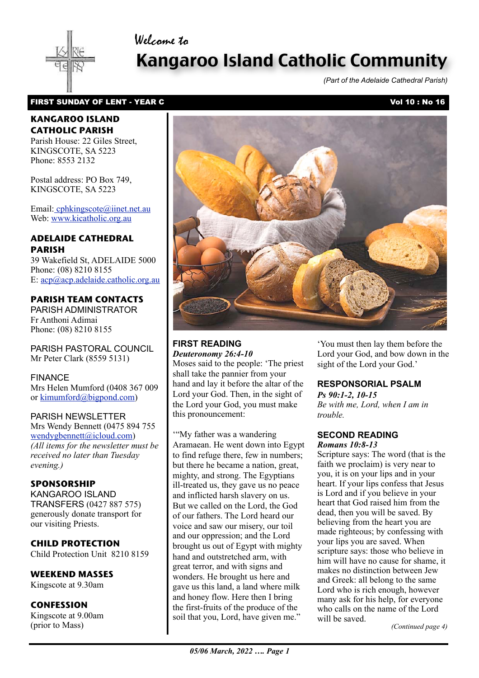# Welcome to



# Kangaroo Island Catholic Community

*(Part of the Adelaide Cathedral Parish)*

# FIRST SUNDAY OF LENT - YEAR C<br>
Vol 10 : No 16

## **KANGAROO ISLAND CATHOLIC PARISH**

Parish House: 22 Giles Street, KINGSCOTE, SA 5223 Phone: 8553 2132

Postal address: PO Box 749, KINGSCOTE, SA 5223

Email[: cphkingscote@iinet.net.au](mailto:cphkingscote@iinet.net.au) Web: [www.kicatholic.org.au](http://www.kicatholic.org.au)

# **ADELAIDE CATHEDRAL PARISH**

39 Wakefield St, ADELAIDE 5000 Phone: (08) 8210 8155 E: [acp@acp.adelaide.catholic.org.au](mailto:?subject=)

# **PARISH TEAM CONTACTS**

PARISH ADMINISTRATOR Fr Anthoni Adimai Phone: (08) 8210 8155

PARISH PASTORAL COUNCIL Mr Peter Clark (8559 5131)

FINANCE Mrs Helen Mumford (0408 367 009 or [kimumford@bigpond.com\)](mailto:kimumford@bigpond.com)

#### PARISH NEWSLETTER

Mrs Wendy Bennett (0475 894 755 [wendygbennett@icloud.com\)](mailto:wendygbennett@icloud.com) *(All items for the newsletter must be received no later than Tuesday evening.)*

## **SPONSORSHIP**

KANGAROO ISLAND TRANSFERS (0427 887 575) generously donate transport for our visiting Priests.

# **CHILD PROTECTION**

Child Protection Unit 8210 8159

#### **WEEKEND MASSES**

Kingscote at 9.30am

### **CONFESSION**

Kingscote at 9.00am (prior to Mass)



# **FIRST READING** *Deuteronomy 26:4-10*

Moses said to the people: 'The priest shall take the pannier from your hand and lay it before the altar of the Lord your God. Then, in the sight of the Lord your God, you must make this pronouncement:

'"My father was a wandering Aramaean. He went down into Egypt to find refuge there, few in numbers; but there he became a nation, great, mighty, and strong. The Egyptians ill-treated us, they gave us no peace and inflicted harsh slavery on us. But we called on the Lord, the God of our fathers. The Lord heard our voice and saw our misery, our toil and our oppression; and the Lord brought us out of Egypt with mighty hand and outstretched arm, with great terror, and with signs and wonders. He brought us here and gave us this land, a land where milk and honey flow. Here then I bring the first-fruits of the produce of the soil that you, Lord, have given me."

'You must then lay them before the Lord your God, and bow down in the sight of the Lord your God.'

## **RESPONSORIAL PSALM**

*Ps 90:1-2, 10-15*

*Be with me, Lord, when I am in trouble.*

#### **SECOND READING** *Romans 10:8-13*

Scripture says: The word (that is the faith we proclaim) is very near to you, it is on your lips and in your heart. If your lips confess that Jesus is Lord and if you believe in your heart that God raised him from the dead, then you will be saved. By believing from the heart you are made righteous; by confessing with your lips you are saved. When scripture says: those who believe in him will have no cause for shame, it makes no distinction between Jew and Greek: all belong to the same Lord who is rich enough, however many ask for his help, for everyone who calls on the name of the Lord will be saved.

*(Continued page 4)*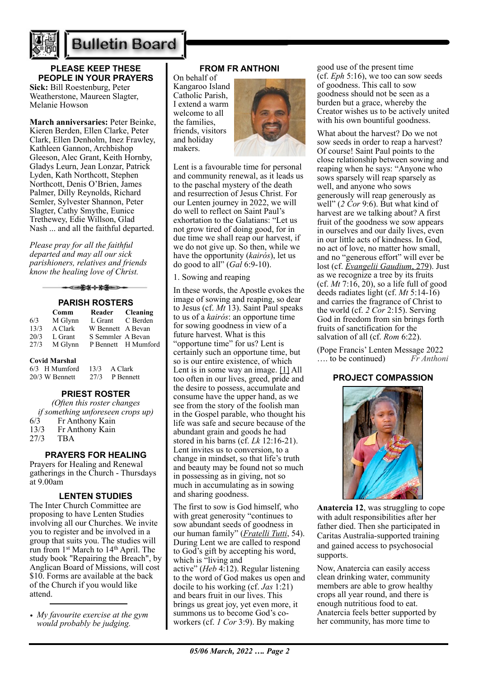

# **Bulletin Board**

**PLEASE KEEP THESE PEOPLE IN YOUR PRAYERS Sick:** Bill Roestenburg, Peter Weatherstone, Maureen Slagter, Melanie Howson

**March anniversaries:** Peter Beinke, Kieren Berden, Ellen Clarke, Peter Clark, Ellen Denholm, Inez Frawley, Kathleen Gannon, Archbishop Gleeson, Alec Grant, Keith Hornby, Gladys Leurn, Jean Lonzar, Patrick Lyden, Kath Northcott, Stephen Northcott, Denis O'Brien, James Palmer, Dilly Reynolds, Richard Semler, Sylvester Shannon, Peter Slagter, Cathy Smythe, Eunice Trethewey, Edie Willson, Glad Nash ... and all the faithful departed.

*Please pray for all the faithful departed and may all our sick parishioners, relatives and friends know the healing love of Christ.*

# </u>

# **PARISH ROSTERS**

|      | Comm    | Reader            | <b>Cleaning</b>     |
|------|---------|-------------------|---------------------|
| 6/3  | M Glynn | L Grant           | C Berden            |
| 13/3 | A Clark | W Bennett A Bevan |                     |
| 20/3 | L Grant | S Semmler A Bevan |                     |
| 27/3 | M Glynn |                   | P Bennett H Mumford |
|      |         |                   |                     |

#### **Covid Marshal**

| $6/3$ H Mumford | 13/3 | A Clark   |
|-----------------|------|-----------|
| 20/3 W Bennett  | 27/3 | P Bennett |

#### **PRIEST ROSTER**

*(Often this roster changes if something unforeseen crops up)*  $6/3$  Fr Anthony Kain<br>13/3 Fr Anthony Kain Fr Anthony Kain 27/3 TBA

#### **PRAYERS FOR HEALING**

Prayers for Healing and Renewal gatherings in the Church - Thursdays at  $9.00$ am

#### **LENTEN STUDIES**

The Inter Church Committee are proposing to have Lenten Studies involving all our Churches. We invite you to register and be involved in a group that suits you. The studies will run from 1<sup>st</sup> March to 14<sup>th</sup> April. The study book "Repairing the Breach", by Anglican Board of Missions, will cost \$10. Forms are available at the back of the Church if you would like attend.

*• My favourite exercise at the gym would probably be judging.*

#### **FROM FR ANTHONI**

On behalf of Kangaroo Island Catholic Parish, I extend a warm welcome to all the families, friends, visitors and holiday makers.



Lent is a favourable time for personal and community renewal, as it leads us to the paschal mystery of the death and resurrection of Jesus Christ. For our Lenten journey in 2022, we will do well to reflect on Saint Paul's exhortation to the Galatians: "Let us not grow tired of doing good, for in due time we shall reap our harvest, if we do not give up. So then, while we have the opportunity (*kairós*), let us do good to all" (*Gal* 6:9-10).

1. Sowing and reaping

In these words, the Apostle evokes the image of sowing and reaping, so dear to Jesus (cf. *Mt* 13). Saint Paul speaks to us of a *kairós*: an opportune time for sowing goodness in view of a future harvest. What is this "opportune time" for us? Lent is certainly such an opportune time, but so is our entire existence, of which Lent is in some way an image. [\[1\]](https://www.vatican.va/content/francesco/en/messages/lent/documents/20211111-messaggio-quaresima2022.html#_ftn1) All too often in our lives, greed, pride and the desire to possess, accumulate and consume have the upper hand, as we see from the story of the foolish man in the Gospel parable, who thought his life was safe and secure because of the abundant grain and goods he had stored in his barns (cf. *Lk* 12:16-21). Lent invites us to conversion, to a change in mindset, so that life's truth and beauty may be found not so much in possessing as in giving, not so much in accumulating as in sowing and sharing goodness.

The first to sow is God himself, who with great generosity "continues to sow abundant seeds of goodness in our human family" (*[Fratelli Tutti](https://www.vatican.va/content/francesco/en/encyclicals/documents/papa-francesco_20201003_enciclica-fratelli-tutti.html)*, 54). During Lent we are called to respond to God's gift by accepting his word, which is "living and active" (*Heb* 4:12). Regular listening to the word of God makes us open and docile to his working (cf. *Jas* 1:21) and bears fruit in our lives. This brings us great joy, yet even more, it summons us to become God's coworkers (cf. *1 Cor* 3:9). By making

good use of the present time (cf. *Eph* 5:16), we too can sow seeds of goodness. This call to sow goodness should not be seen as a burden but a grace, whereby the Creator wishes us to be actively united with his own bountiful goodness.

What about the harvest? Do we not sow seeds in order to reap a harvest? Of course! Saint Paul points to the close relationship between sowing and reaping when he says: "Anyone who sows sparsely will reap sparsely as well, and anyone who sows generously will reap generously as well" (*2 Cor* 9:6). But what kind of harvest are we talking about? A first fruit of the goodness we sow appears in ourselves and our daily lives, even in our little acts of kindness. In God, no act of love, no matter how small, and no "generous effort" will ever be lost (cf. *[Evangelii Gaudium](https://www.vatican.va/content/francesco/en/apost_exhortations/documents/papa-francesco_esortazione-ap_20131124_evangelii-gaudium.html)*, 279). Just as we recognize a tree by its fruits (cf. *Mt* 7:16, 20), so a life full of good deeds radiates light (cf. *Mt* 5:14-16) and carries the fragrance of Christ to the world (cf. *2 Cor* 2:15). Serving God in freedom from sin brings forth fruits of sanctification for the salvation of all (cf. *Rom* 6:22).

(Pope Francis' Lenten Message 2022 …. to be continued) *Fr Anthoni*

#### **PROJECT COMPASSION**



**Anatercia 12**, was struggling to cope with adult responsibilities after her father died. Then she participated in Caritas Australia-supported training and gained access to psychosocial supports.

Now, Anatercia can easily access clean drinking water, community members are able to grow healthy crops all year round, and there is enough nutritious food to eat. Anatercia feels better supported by her community, has more time to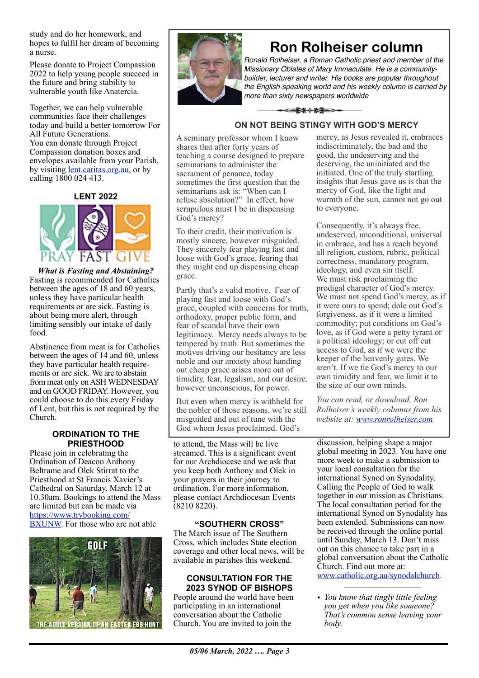study and do her homework, and hopes to fulfil her dream of becoming a nurse.

Please donate to Project Compassion 2022 to help young people succeed in the future and bring stability to vulnerable youth like Anatercia.

Together, we can help vulnerable communities face their challenges today and build a better tomorrow For All Future Generations. You can donate through Project Compassion donation boxes and envelopes available from your Parish, by visiting [lent.caritas.org.au](http://www.caritas.org.au/projectcompassion), or by calling 1800 024 413.

#### **LENT 2022**



*What is Fasting and Abstaining?* Fasting is recommended for Catholics between the ages of 18 and 60 years, unless they have particular health requirements or are sick. Fasting is about being more alert, through limiting sensibly our intake of daily food.

Abstinence from meat is for Catholics between the ages of 14 and 60, unless they have particular health requirements or are sick. We are to abstain from meat only on ASH WEDNESDAY and on GOOD FRIDAY. However, you could choose to do this every Friday of Lent, but this is not required by the Church.

#### **ORDINATION TO THE PRIESTHOOD**

Please join in celebrating the Ordination of Deacon Anthony Beltrame and Olek Stirrat to the Priesthood at St Francis Xavier's Cathedral on Saturday, March 12 at 10.30am. Bookings to attend the Mass are limited but can be made via [https://www.trybooking.com/](https://aus01.safelinks.protection.outlook.com/?url=https://www.trybooking.com/BXUNW&data=04%7C01%7Cjbradshaw@adelaide.catholic.org.au%7C8df617c139024bf83d2208d9fa437901%7Cfe51d108d61d407cbcaaaab5af82a7ac%7C1%7C0%7C637815989965661263%7CUnknown%7CTWFpbGZsb3d8eyJWIjoiMC4wLjAwMDAiLCJQIjoiV2luMzIiLCJBTiI6Ik1haWwiLCJXVCI6Mn0=%7C3000&sdata=/GPGQfjnrPatB+y/NmI9m0Z6LFTQCTPgu0vZnG7s5tc=&reserved=0) [BXUNW.](https://aus01.safelinks.protection.outlook.com/?url=https://www.trybooking.com/BXUNW&data=04%7C01%7Cjbradshaw@adelaide.catholic.org.au%7C8df617c139024bf83d2208d9fa437901%7Cfe51d108d61d407cbcaaaab5af82a7ac%7C1%7C0%7C637815989965661263%7CUnknown%7CTWFpbGZsb3d8eyJWIjoiMC4wLjAwMDAiLCJQIjoiV2luMzIiLCJBTiI6Ik1haWwiLCJXVCI6Mn0=%7C3000&sdata=/GPGQfjnrPatB+y/NmI9m0Z6LFTQCTPgu0vZnG7s5tc=&reserved=0) For those who are not able





# **Ron Rolheiser column**

*Ronald Rolheiser, a Roman Catholic priest and member of the Missionary Oblates of Mary Immaculate. He is a communitybuilder, lecturer and writer. His books are popular throughout the English-speaking world and his weekly column is carried by more than sixty newspapers worldwide*

#### ▅<del>▛</del>▓⊹⋡<del>⋚</del>▅⋺⊷

#### **ON NOT BEING STINGY WITH GOD'S MERCY**

A seminary professor whom I know shares that after forty years of teaching a course designed to prepare seminarians to administer the sacrament of penance, today sometimes the first question that the seminarians ask is: "When can I refuse absolution?" In effect, how scrupulous must I be in dispensing God's mercy?

To their credit, their motivation is mostly sincere, however misguided. They sincerely fear playing fast and loose with God's grace, fearing that they might end up dispensing cheap grace.

Partly that's a valid motive. Fear of playing fast and loose with God's grace, coupled with concerns for truth, orthodoxy, proper public form, and fear of scandal have their own legitimacy. Mercy needs always to be tempered by truth. But sometimes the motives driving our hesitancy are less noble and our anxiety about handing out cheap grace arises more out of timidity, fear, legalism, and our desire, however unconscious, for power.

But even when mercy is withheld for the nobler of those reasons, we're still misguided and out of tune with the God whom Jesus proclaimed. God's

to attend, the Mass will be live streamed. This is a significant event for our Archdiocese and we ask that you keep both Anthony and Olek in your prayers in their journey to ordination. For more information, please contact Archdiocesan Events  $(8210 8220)$ .

#### **"SOUTHERN CROSS"**

The March issue of The Southern Cross, which includes State election coverage and other local news, will be available in parishes this weekend.

#### **CONSULTATION FOR THE 2023 SYNOD OF BISHOPS**

People around the world have been participating in an international conversation about the Catholic Church. You are invited to join the

mercy, as Jesus revealed it, embraces indiscriminately, the bad and the good, the undeserving and the deserving, the uninitiated and the initiated. One of the truly startling insights that Jesus gave us is that the mercy of God, like the light and warmth of the sun, cannot not go out to everyone.

Consequently, it's always free, undeserved, unconditional, universal in embrace, and has a reach beyond all religion, custom, rubric, political correctness, mandatory program, ideology, and even sin itself. We must risk proclaiming the prodigal character of God's mercy. We must not spend God's mercy, as if it were ours to spend; dole out God's forgiveness, as if it were a limited commodity; put conditions on God's love, as if God were a petty tyrant or a political ideology; or cut off cut access to God, as if we were the keeper of the heavenly gates. We aren't. If we tie God's mercy to our own timidity and fear, we limit it to the size of our own minds.

*You can read, or download, Ron Rolheiser's weekly columns from his website at: www.ronrolheiser.com*

discussion, helping shape a major global meeting in 2023. You have one more week to make a submission to your local consultation for the international Synod on Synodality. Calling the People of God to walk together in our mission as Christians. The local consultation period for the international Synod on Synodality has been extended. Submissions can now be received through the online portal until Sunday, March 13. Don't miss out on this chance to take part in a global conversation about the Catholic Church. Find out more at: [www.catholic.org.au/synodalchurch](http://www.catholic.org.au/synodalchurch).

*<sup>•</sup> You know that tingly little feeling you get when you like someone? That's common sense leaving your body.*